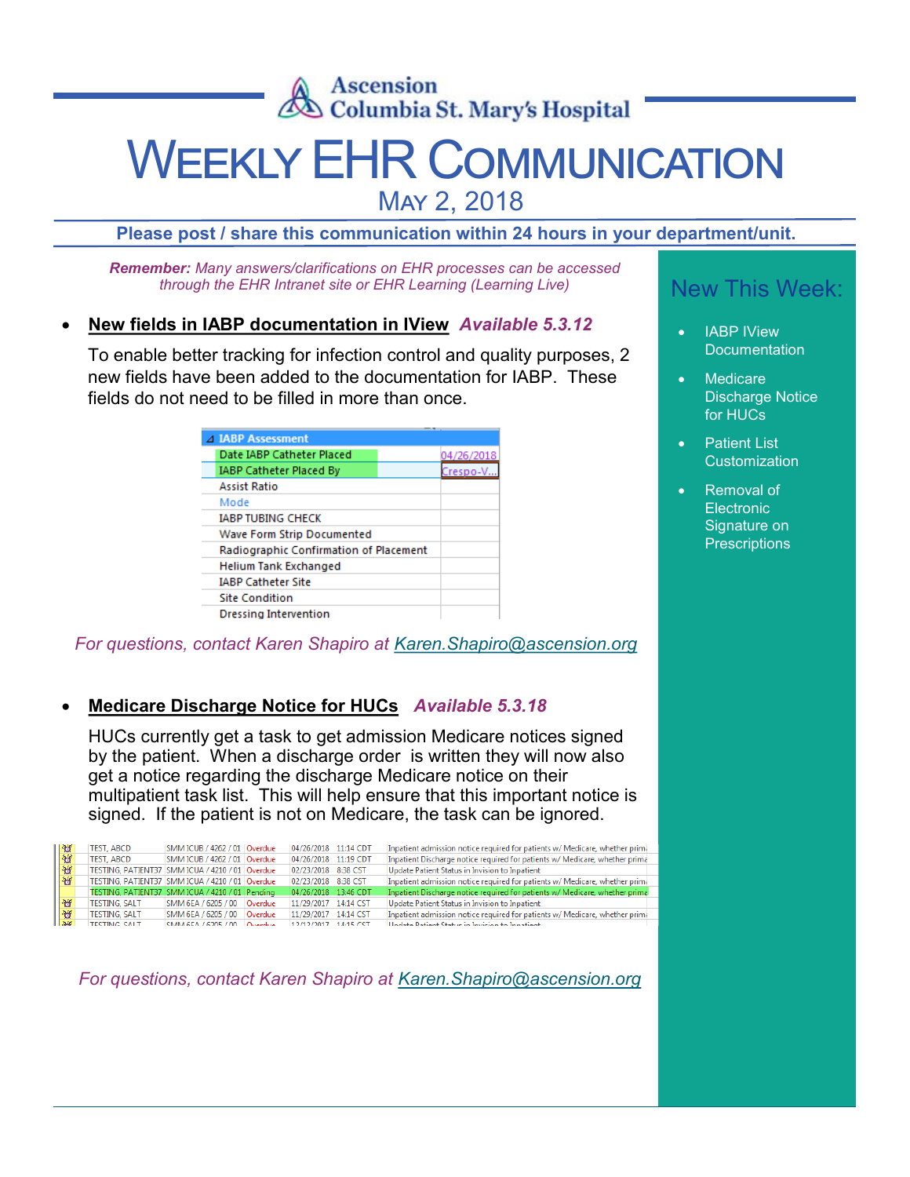

# WEEKLY EHR COMMUNICATION

May 2, 2018

**Please post / share this communication within 24 hours in your department/unit.**

*Remember: Many answers/clarifications on EHR processes can be accessed through the EHR Intranet site or EHR Learning (Learning Live)*

## • **New fields in IABP documentation in IView** *Available 5.3.12*

To enable better tracking for infection control and quality purposes, 2 new fields have been added to the documentation for IABP. These fields do not need to be filled in more than once.

| 4 IABP Assessment                      |  |            |
|----------------------------------------|--|------------|
| Date IABP Catheter Placed              |  | 04/26/2018 |
| <b>IABP Catheter Placed By</b>         |  | Crespo-V   |
| <b>Assist Ratio</b>                    |  |            |
| Mode                                   |  |            |
| <b>IABP TUBING CHECK</b>               |  |            |
| Wave Form Strip Documented             |  |            |
| Radiographic Confirmation of Placement |  |            |
| Helium Tank Exchanged                  |  |            |
| <b>IABP Catheter Site</b>              |  |            |
| <b>Site Condition</b>                  |  |            |
| Dressing Intervention                  |  |            |

*For questions, contact Karen Shapiro at [Karen.Shapiro@ascension.org](mailto:karen.shapiro@ascension.org)*

## • **Medicare Discharge Notice for HUCs** *Available 5.3.18*

HUCs currently get a task to get admission Medicare notices signed by the patient. When a discharge order is written they will now also get a notice regarding the discharge Medicare notice on their multipatient task list. This will help ensure that this important notice is signed. If the patient is not on Medicare, the task can be ignored.

| l 'o'         | TEST. ABCD           | SMM ICUB / 4262 / 01   Overdue                  | 04/26/2018 11:14 CDT |           | Inpatient admission notice required for patients w/ Medicare, whether primi  |
|---------------|----------------------|-------------------------------------------------|----------------------|-----------|------------------------------------------------------------------------------|
| ಆ             | <b>TEST, ABCD</b>    | SMM ICUB / 4262 / 01 Overdue                    | 04/26/2018 11:19 CDT |           | Inpatient Discharge notice required for patients w/ Medicare, whether prima  |
| $\sigma$      |                      | TESTING, PATIENT37 SMM ICUA / 4210 / 01 Overdue | 02/23/2018 8:38 CST  |           | Update Patient Status in Invision to Inpatient                               |
| <b>R</b>      |                      | TESTING, PATIENT37 SMM ICUA / 4210 / 01 Overdue | 02/23/2018 8:38 CST  |           | Inpatient admission notice required for patients w/ Medicare, whether primi- |
|               |                      | TESTING, PATIENT37 SMM ICUA / 4210 / 01 Pending | 04/26/2018 13:46 CDT |           | Inpatient Discharge notice required for patients w/ Medicare, whether prima  |
| $\mathcal{C}$ | <b>TESTING, SALT</b> | SMM 6EA / 6205 / 00 Overdue                     | 11/29/2017 14:14 CST |           | Update Patient Status in Invision to Inpatient                               |
| ಚ             | <b>TESTING, SALT</b> | SMM 6EA / 6205 / 00 Overdue                     | 11/29/2017 14:14 CST |           | Inpatient admission notice required for patients w/ Medicare, whether prima  |
| $-3-6$        | TECTINIC CALT        | CMMAGEA $(6205/00)$ Overdue                     | 12/12/2017           | 14-15-007 | Hodate Dationt Status in Invision to Innationt                               |

*For questions, contact Karen Shapiro at [Karen.Shapiro@ascension.org](mailto:karen.shapiro@ascension.org)*

## New This Week:

- **IABP IView Documentation**
- **Medicare** Discharge Notice for HUCs
- **Patient List Customization**
- Removal of **Electronic** Signature on **Prescriptions**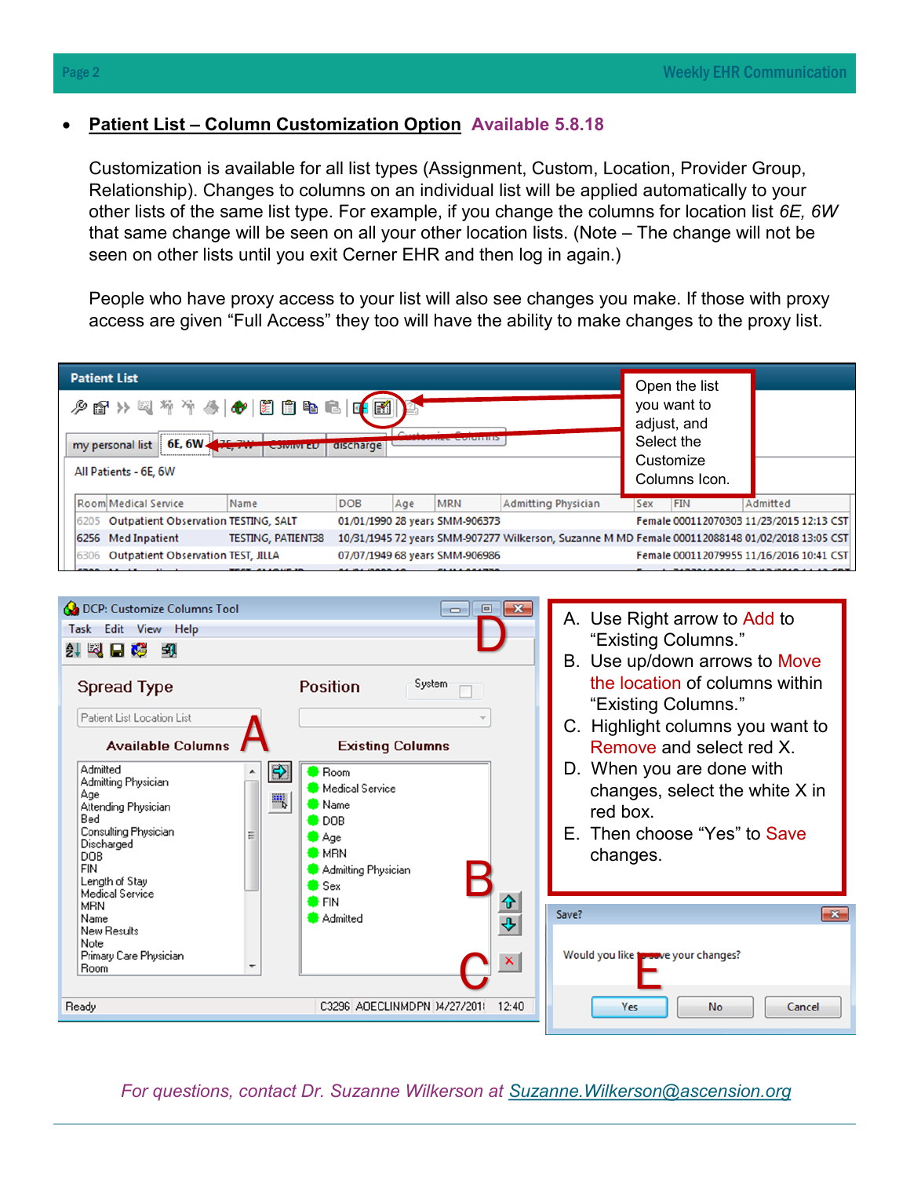### • **Patient List – Column Customization Option Available 5.8.18**

Customization is available for all list types (Assignment, Custom, Location, Provider Group, Relationship). Changes to columns on an individual list will be applied automatically to your other lists of the same list type. For example, if you change the columns for location list *6E, 6W* that same change will be seen on all your other location lists. (Note – The change will not be seen on other lists until you exit Cerner EHR and then log in again.)

People who have proxy access to your list will also see changes you make. If those with proxy access are given "Full Access" they too will have the ability to make changes to the proxy list.





*For questions, contact Dr. Suzanne Wilkerson at [Suzanne.Wilkerson@ascension.org](mailto:Suzanne.Wilkerson@ascension.org)*